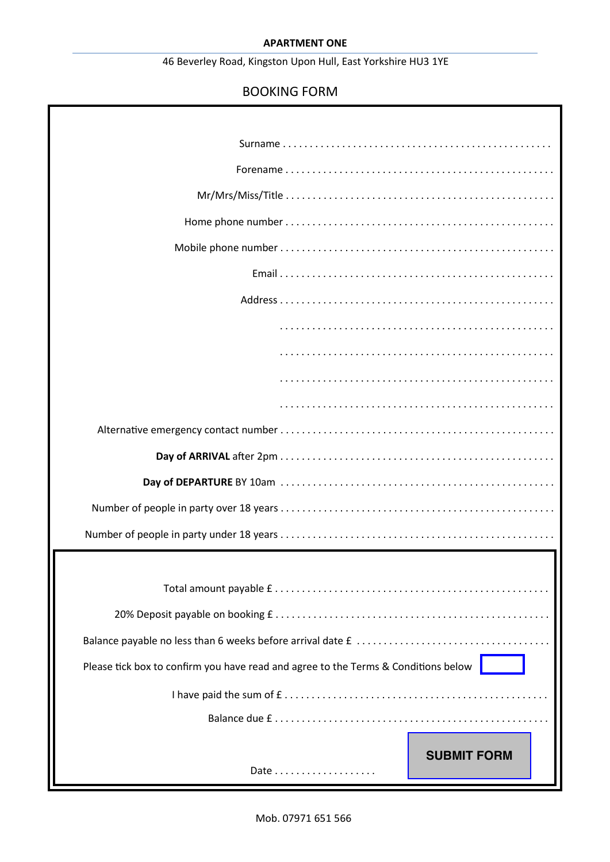# **APARTMENT ONE**

# 46 Beverley Road, Kingston Upon Hull, East Yorkshire HU3 1YE

# BOOKING FORM

| Please tick box to confirm you have read and agree to the Terms & Conditions below |
|------------------------------------------------------------------------------------|
|                                                                                    |
|                                                                                    |
|                                                                                    |
| <b>SUBMIT FORM</b>                                                                 |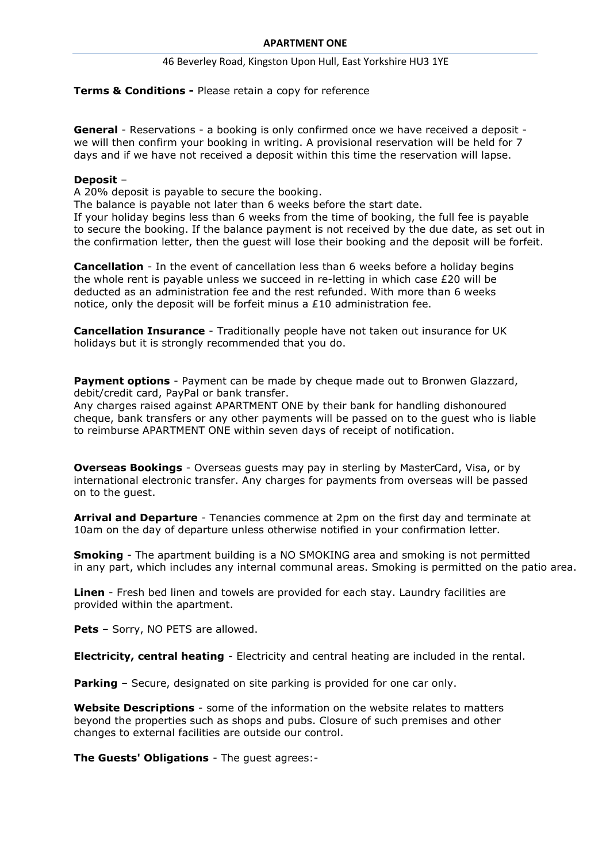## 46 Beverley Road, Kingston Upon Hull, East Yorkshire HU3 1YE

# **Terms & Conditions -** Please retain a copy for reference

**General** - Reservations - a booking is only confirmed once we have received a deposit we will then confirm your booking in writing. A provisional reservation will be held for 7 days and if we have not received a deposit within this time the reservation will lapse.

## **Deposit** –

A 20% deposit is payable to secure the booking.

The balance is payable not later than 6 weeks before the start date.

If your holiday begins less than 6 weeks from the time of booking, the full fee is payable to secure the booking. If the balance payment is not received by the due date, as set out in the confirmation letter, then the guest will lose their booking and the deposit will be forfeit.

**Cancellation** - In the event of cancellation less than 6 weeks before a holiday begins the whole rent is payable unless we succeed in re-letting in which case  $E20$  will be deducted as an administration fee and the rest refunded. With more than 6 weeks notice, only the deposit will be forfeit minus a  $£10$  administration fee.

**Cancellation Insurance** - Traditionally people have not taken out insurance for UK holidays but it is strongly recommended that you do.

**Payment options** - Payment can be made by cheque made out to Bronwen Glazzard, debit/credit card, PayPal or bank transfer.

Any charges raised against APARTMENT ONE by their bank for handling dishonoured cheque, bank transfers or any other payments will be passed on to the guest who is liable to reimburse APARTMENT ONE within seven days of receipt of notification.

**Overseas Bookings** - Overseas guests may pay in sterling by MasterCard, Visa, or by international electronic transfer. Any charges for payments from overseas will be passed on to the guest.

**Arrival and Departure** - Tenancies commence at 2pm on the first day and terminate at 10am on the day of departure unless otherwise notified in your confirmation letter.

**Smoking** - The apartment building is a NO SMOKING area and smoking is not permitted in any part, which includes any internal communal areas. Smoking is permitted on the patio area.

**Linen** - Fresh bed linen and towels are provided for each stay. Laundry facilities are provided within the apartment.

**Pets** – Sorry, NO PETS are allowed.

**Electricity, central heating** - Electricity and central heating are included in the rental.

**Parking** – Secure, designated on site parking is provided for one car only.

**Website Descriptions** - some of the information on the website relates to matters beyond the properties such as shops and pubs. Closure of such premises and other changes to external facilities are outside our control.

**The Guests' Obligations** - The guest agrees:-